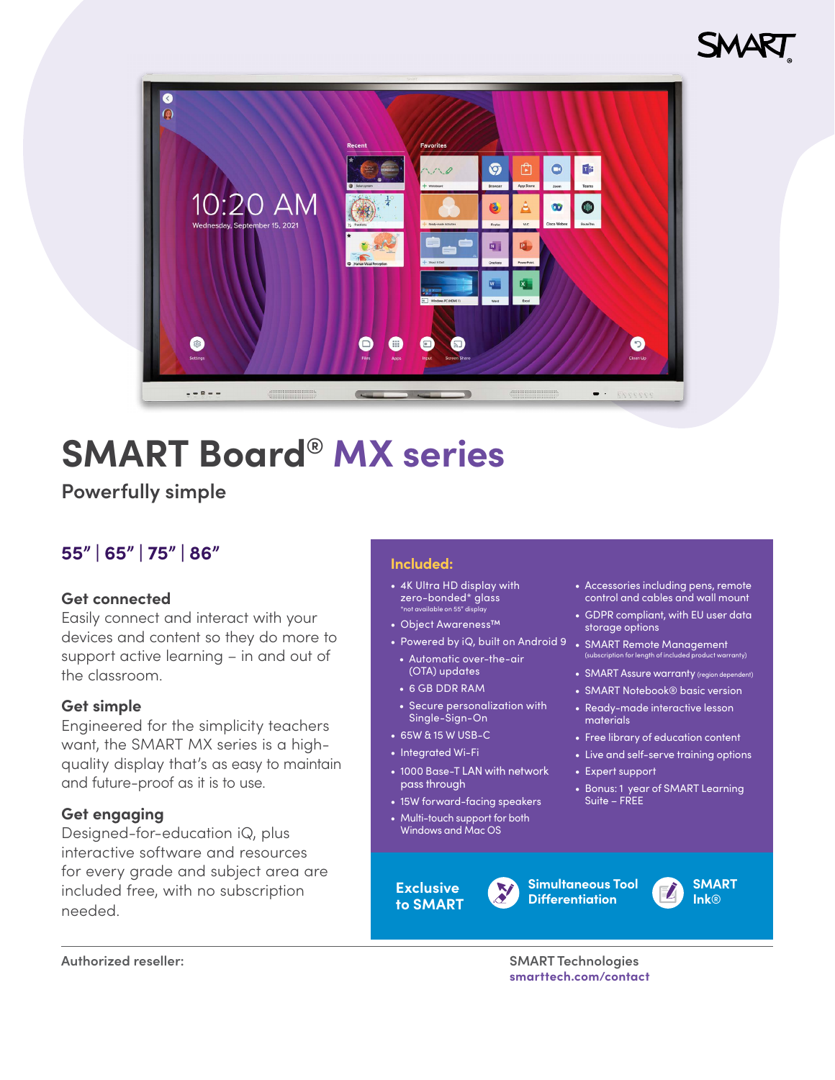



# **SMART Board® MX series**

**Powerfully simple**

## **55" | 65" | 75" | 86" Included:**

### **Get connected**

Easily connect and interact with your devices and content so they do more to support active learning – in and out of the classroom.

### **Get simple**

Engineered for the simplicity teachers want, the SMART MX series is a highquality display that's as easy to maintain and future-proof as it is to use.

### **Get engaging**

Designed-for-education iQ, plus interactive software and resources for every grade and subject area are included free, with no subscription needed.

- 4K Ultra HD display with zero-bonded\* glass \*not available on 55" display
- Object Awareness™
- Powered by iQ, built on Android 9 SMART Remote Management
- Automatic over-the-air (OTA) updates
- 6 GB DDR RAM
- Secure personalization with Single-Sign-On
- 65W & 15 W USB-C
- Integrated Wi-Fi
- 1000 Base-T LAN with network pass through
- 15W forward-facing speakers
- Multi-touch support for both Windows and Mac OS

**Exclusive to SMART**

- Accessories including pens, remote control and cables and wall mount
- GDPR compliant, with EU user data storage options
- (subscription for length of inclu
- SMART Assure warranty (region deper
- SMART Notebook® basic version
- Ready-made interactive lesson materials
- Free library of education content
- Live and self-serve training options
- Expert support
- Bonus: 1 year of SMART Learning Suite – FREE

**SMART Ink**®

**Authorized reseller: SMART Technologies**

**[smarttech.com/contact](http://smarttech.com/contact)**

**Simultaneous Tool Differentiation**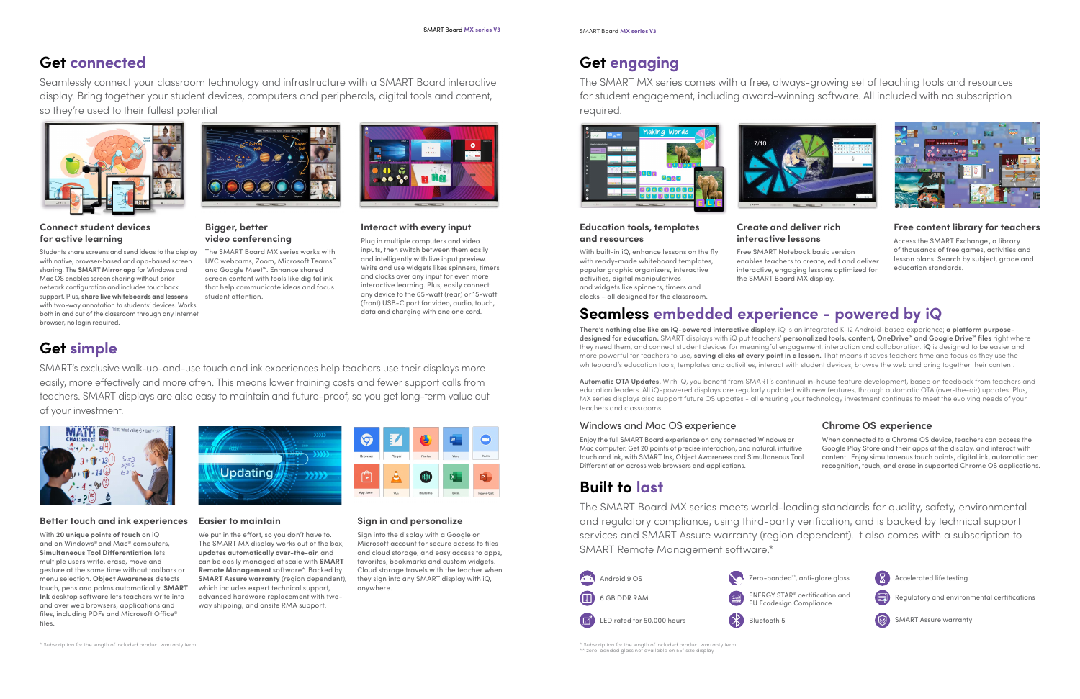

Accelerated life testing



Regulatory and environmental certifications

SMART Assure warranty

## **Built to last**

The SMART Board MX series meets world-leading standards for quality, safety, environmental and regulatory compliance, using third-party verification, and is backed by technical support services and SMART Assure warranty (region dependent). It also comes with a subscription to SMART Remote Management software.\*

## **Get connected**

Seamlessly connect your classroom technology and infrastructure with a SMART Board interactive display. Bring together your student devices, computers and peripherals, digital tools and content, so they're used to their fullest potential



## **Get simple**

SMART's exclusive walk-up-and-use touch and ink experiences help teachers use their displays more easily, more effectively and more often. This means lower training costs and fewer support calls from teachers. SMART displays are also easy to maintain and future-proof, so you get long-term value out of your investment.



## **Get engaging**

The SMART MX series comes with a free, always-growing set of teaching tools and resources for student engagement, including award-winning software. All included with no subscription required.



### **Better touch and ink experiences**

With **20 unique points of touch** on iQ and on Windows® and Mac® computers, **Simultaneous Tool Differentiation** lets multiple users write, erase, move and gesture at the same time without toolbars or menu selection. **Object Awareness** detects touch, pens and palms automatically. **SMART Ink** desktop software lets teachers write into and over web browsers, applications and files, including PDFs and Microsoft Office® files.



### **Easier to maintain**

We put in the effort, so you don't have to. The SMART MX display works out of the box, **updates automatically over-the-air**, and can be easily managed at scale with **SMART Remote Management** software\*. Backed by **SMART Assure warranty** (region dependent), which includes expert technical support, advanced hardware replacement with twoway shipping, and onsite RMA support.



### **Sign in and personalize**

Sign into the display with a Google or Microsoft account for secure access to files and cloud storage, and easy access to apps, favorites, bookmarks and custom widgets. Cloud storage travels with the teacher when they sign into any SMART display with iQ, anywhere.

### **Education tools, templates and resources**

With built-in iQ, enhance lessons on the fly with ready-made whiteboard templates, popular graphic organizers, interactive activities, digital manipulatives and widgets like spinners, timers and clocks – all designed for the classroom.

### **Create and deliver rich interactive lessons**



Free SMART Notebook basic version enables teachers to create, edit and deliver interactive, engaging lessons optimized for the SMART Board MX display.

### **Free content library for teachers**

Access the SMART Exchange , a library of thousands of free games, activities and lesson plans. Search by subject, grade and education standards.

\* Subscription for the length of included product warranty term \*\* zero-bonded glass not available on 55" size display

## **Seamless embedded experience - powered by iQ**

**There's nothing else like an iQ-powered interactive display.** iQ is an integrated K-12 Android-based experience; **a platform purposedesigned for education.** SMART displays with iQ put teachers' **personalized tools, content, OneDrive™ and Google Drive™ files** right where they need them, and connect student devices for meaningful engagement, interaction and collaboration. **iQ** is designed to be easier and more powerful for teachers to use, **saving clicks at every point in a lesson.** That means it saves teachers time and focus as they use the whiteboard's education tools, templates and activities, interact with student devices, browse the web and bring together their content.

**Automatic OTA Updates.** With iQ, you benefit from SMART's continual in-house feature development, based on feedback from teachers and education leaders. All iQ-powered displays are regularly updated with new features, through automatic OTA (over-the-air) updates. Plus, MX series displays also support future OS updates - all ensuring your technology investment continues to meet the evolving needs of your teachers and classrooms.

\* Subscription for the length of included product warranty term



### Windows and Mac OS experience

Enjoy the full SMART Board experience on any connected Windows or Mac computer. Get 20 points of precise interaction, and natural, intuitive touch and ink, with SMART Ink, Object Awareness and Simultaneous Tool Differentiation across web browsers and applications.

### **Chrome OS experience**

When connected to a Chrome OS device, teachers can access the Google Play Store and their apps at the display, and interact with content. Enjoy simultaneous touch points, digital ink, automatic pen recognition, touch, and erase in supported Chrome OS applications.



### **Bigger, better video conferencing**

The SMART Board MX series works with UVC webcams, Zoom, Microsoft Teams™ and Google Meet™. Enhance shared screen content with tools like digital ink that help communicate ideas and focus student attention.

**Interact with every input** Plug in multiple computers and video inputs, then switch between them easily and intelligently with live input preview. Write and use widgets likes spinners, timers and clocks over any input for even more interactive learning. Plus, easily connect any device to the 65-watt (rear) or 15-watt (front) USB-C port for video, audio, touch, data and charging with one one cord.

### **Connect student devices for active learning**

Students share screens and send ideas to the display with native, browser-based and app-based screen sharing. The **SMART Mirror app** for Windows and Mac OS enables screen sharing without prior network configuration and includes touchback support. Plus, **share live whiteboards and lessons** with two-way annotation to students' devices. Works both in and out of the classroom through any Internet browser, no login required.